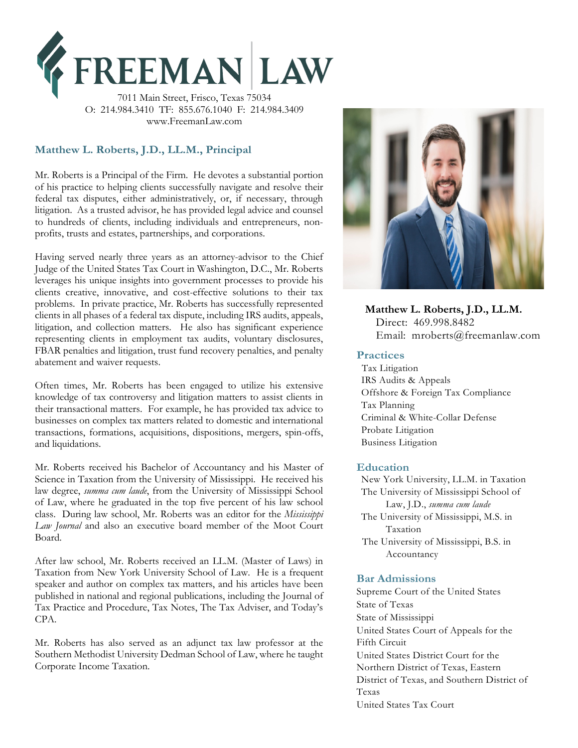

7011 Main Street, Frisco, Texas 75034 O: 214.984.3410 TF: 855.676.1040 F: 214.984.3409 www.FreemanLaw.com

# **Matthew L. Roberts, J.D., LL.M., Principal**

Mr. Roberts is a Principal of the Firm. He devotes a substantial portion of his practice to helping clients successfully navigate and resolve their federal tax disputes, either administratively, or, if necessary, through litigation. As a trusted advisor, he has provided legal advice and counsel to hundreds of clients, including individuals and entrepreneurs, nonprofits, trusts and estates, partnerships, and corporations.

problems. In private practice, Mr. Roberts has successfully represented<br>problems. In private practice, Mr. Roberts has successfully represented<br>plinate in all phases of a foderal tax dispute including IPS audits concels. Having served nearly three years as an attorney-advisor to the Chief Judge of the United States Tax Court in Washington, D.C., Mr. Roberts leverages his unique insights into government processes to provide his clients creative, innovative, and cost-effective solutions to their tax clients in all phases of a federal tax dispute, including IRS audits, appeals, litigation, and collection matters. He also has significant experience representing clients in employment tax audits, voluntary disclosures, FBAR penalties and litigation, trust fund recovery penalties, and penalty abatement and waiver requests.

Often times, Mr. Roberts has been engaged to utilize his extensive knowledge of tax controversy and litigation matters to assist clients in their transactional matters. For example, he has provided tax advice to businesses on complex tax matters related to domestic and international transactions, formations, acquisitions, dispositions, mergers, spin-offs, and liquidations.

Mr. Roberts received his Bachelor of Accountancy and his Master of Science in Taxation from the University of Mississippi. He received his law degree, *summa cum laude*, from the University of Mississippi School of Law, where he graduated in the top five percent of his law school class. During law school, Mr. Roberts was an editor for the *Mississippi Law Journal* and also an executive board member of the Moot Court Board.

After law school, Mr. Roberts received an LL.M. (Master of Laws) in Taxation from New York University School of Law. He is a frequent speaker and author on complex tax matters, and his articles have been published in national and regional publications, including the Journal of Tax Practice and Procedure, Tax Notes, The Tax Adviser, and Today's CPA.

Mr. Roberts has also served as an adjunct tax law professor at the Southern Methodist University Dedman School of Law, where he taught Corporate Income Taxation.



 Direct: 469.998.8482 Email: mroberts@freemanlaw.com

### **Practices**

Tax Litigation IRS Audits & Appeals Offshore & Foreign Tax Compliance Tax Planning Criminal & White-Collar Defense Probate Litigation Business Litigation

#### **Education**

New York University, LL.M. in Taxation The University of Mississippi School of Law, J.D., *summa cum laude* The University of Mississippi, M.S. in Taxation The University of Mississippi, B.S. in Accountancy

#### **Bar Admissions**

Supreme Court of the United States State of Texas State of Mississippi United States Court of Appeals for the Fifth Circuit United States District Court for the Northern District of Texas, Eastern District of Texas, and Southern District of Texas United States Tax Court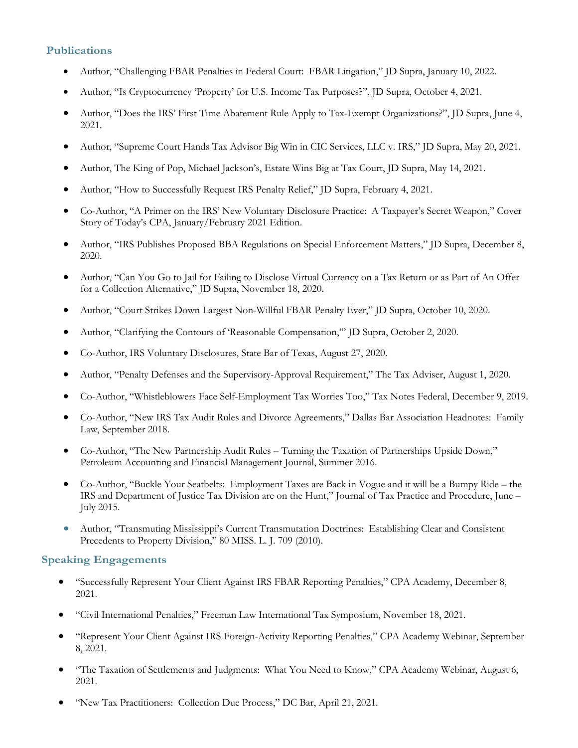### **Publications**

- Author, "Challenging FBAR Penalties in Federal Court: FBAR Litigation," JD Supra, January 10, 2022.
- Author, "Is Cryptocurrency 'Property' for U.S. Income Tax Purposes?", JD Supra, October 4, 2021.
- Author, "Does the IRS' First Time Abatement Rule Apply to Tax-Exempt Organizations?", JD Supra, June 4, 2021.
- Author, "Supreme Court Hands Tax Advisor Big Win in CIC Services, LLC v. IRS," JD Supra, May 20, 2021.
- Author, The King of Pop, Michael Jackson's, Estate Wins Big at Tax Court, JD Supra, May 14, 2021.
- Author, "How to Successfully Request IRS Penalty Relief," JD Supra, February 4, 2021.
- Co-Author, "A Primer on the IRS' New Voluntary Disclosure Practice: A Taxpayer's Secret Weapon," Cover Story of Today's CPA, January/February 2021 Edition.
- Author, "IRS Publishes Proposed BBA Regulations on Special Enforcement Matters," JD Supra, December 8, 2020.
- Author, "Can You Go to Jail for Failing to Disclose Virtual Currency on a Tax Return or as Part of An Offer for a Collection Alternative," JD Supra, November 18, 2020.
- Author, "Court Strikes Down Largest Non-Willful FBAR Penalty Ever," JD Supra, October 10, 2020.
- Author, "Clarifying the Contours of 'Reasonable Compensation,'" JD Supra, October 2, 2020.
- Co-Author, IRS Voluntary Disclosures, State Bar of Texas, August 27, 2020.
- Author, "Penalty Defenses and the Supervisory-Approval Requirement," The Tax Adviser, August 1, 2020.
- Co-Author, "Whistleblowers Face Self-Employment Tax Worries Too," Tax Notes Federal, December 9, 2019.
- Co-Author, "New IRS Tax Audit Rules and Divorce Agreements," Dallas Bar Association Headnotes: Family Law, September 2018.
- Co-Author, "The New Partnership Audit Rules Turning the Taxation of Partnerships Upside Down," Petroleum Accounting and Financial Management Journal, Summer 2016.
- Co-Author, "Buckle Your Seatbelts: Employment Taxes are Back in Vogue and it will be a Bumpy Ride the IRS and Department of Justice Tax Division are on the Hunt," Journal of Tax Practice and Procedure, June – July 2015.
- Author, "Transmuting Mississippi's Current Transmutation Doctrines: Establishing Clear and Consistent Precedents to Property Division," 80 MISS. L. J. 709 (2010).

## **Speaking Engagements**

- "Successfully Represent Your Client Against IRS FBAR Reporting Penalties," CPA Academy, December 8, 2021.
- "Civil International Penalties," Freeman Law International Tax Symposium, November 18, 2021.
- "Represent Your Client Against IRS Foreign-Activity Reporting Penalties," CPA Academy Webinar, September 8, 2021.
- "The Taxation of Settlements and Judgments: What You Need to Know," CPA Academy Webinar, August 6, 2021.
- "New Tax Practitioners: Collection Due Process," DC Bar, April 21, 2021.